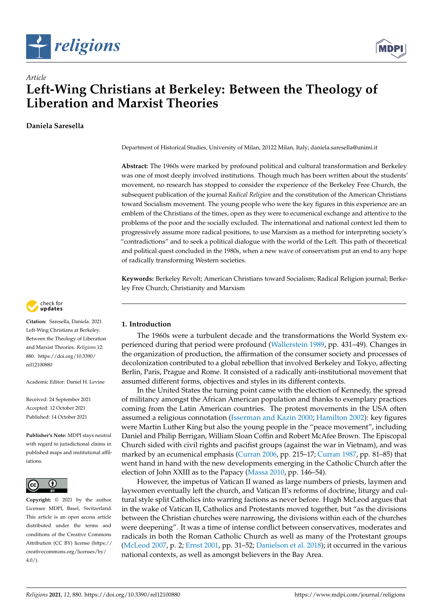



# *Article* **Left-Wing Christians at Berkeley: Between the Theology of Liberation and Marxist Theories**

# **Daniela Saresella**



**Citation:** Saresella, Daniela. 2021. Left-Wing Christians at Berkeley: Between the Theology of Liberation and Marxist Theories. *Religions* 12: 880. [https://doi.org/10.3390/](https://doi.org/10.3390/rel12100880) [rel12100880](https://doi.org/10.3390/rel12100880)

Academic Editor: Daniel H. Levine

Received: 24 September 2021 Accepted: 12 October 2021 Published: 14 October 2021

**Publisher's Note:** MDPI stays neutral with regard to jurisdictional claims in published maps and institutional affiliations.



**Copyright:** © 2021 by the author. Licensee MDPI, Basel, Switzerland. This article is an open access article distributed under the terms and conditions of the Creative Commons Attribution (CC BY) license (https:/[/](https://creativecommons.org/licenses/by/4.0/) [creativecommons.org/licenses/by/](https://creativecommons.org/licenses/by/4.0/)  $4.0/$ ).

Department of Historical Studies, University of Milan, 20122 Milan, Italy; daniela.saresella@unimi.it

**Abstract:** The 1960s were marked by profound political and cultural transformation and Berkeley was one of most deeply involved institutions. Though much has been written about the students' movement, no research has stopped to consider the experience of the Berkeley Free Church, the subsequent publication of the journal *Radical Religion* and the constitution of the American Christians toward Socialism movement. The young people who were the key figures in this experience are an emblem of the Christians of the times, open as they were to ecumenical exchange and attentive to the problems of the poor and the socially excluded. The international and national context led them to progressively assume more radical positions, to use Marxism as a method for interpreting society's "contradictions" and to seek a political dialogue with the world of the Left. This path of theoretical and political quest concluded in the 1980s, when a new wave of conservatism put an end to any hope of radically transforming Western societies.

**Keywords:** Berkeley Revolt; American Christians toward Socialism; Radical Religion journal; Berkeley Free Church; Christianity and Marxism

## **1. Introduction**

The 1960s were a turbulent decade and the transformations the World System experienced during that period were profound [\(Wallerstein](#page-13-0) [1989,](#page-13-0) pp. 431–49). Changes in the organization of production, the affirmation of the consumer society and processes of decolonization contributed to a global rebellion that involved Berkeley and Tokyo, affecting Berlin, Paris, Prague and Rome. It consisted of a radically anti-institutional movement that assumed different forms, objectives and styles in its different contexts.

In the United States the turning point came with the election of Kennedy, the spread of militancy amongst the African American population and thanks to exemplary practices coming from the Latin American countries. The protest movements in the USA often assumed a religious connotation [\(Isserman and Kazin](#page-13-1) [2000;](#page-13-1) [Hamilton](#page-12-0) [2002\)](#page-12-0): key figures were Martin Luther King but also the young people in the "peace movement", including Daniel and Philip Berrigan, William Sloan Coffin and Robert McAfee Brown. The Episcopal Church sided with civil rights and pacifist groups (against the war in Vietnam), and was marked by an ecumenical emphasis [\(Curran](#page-12-1) [2006,](#page-12-1) pp. 215–17; [Curran](#page-12-2) [1987,](#page-12-2) pp. 81–85) that went hand in hand with the new developments emerging in the Catholic Church after the election of John XXIII as to the Papacy [\(Massa](#page-13-2) [2010,](#page-13-2) pp. 146–54).

However, the impetus of Vatican II waned as large numbers of priests, laymen and laywomen eventually left the church, and Vatican II's reforms of doctrine, liturgy and cultural style split Catholics into warring factions as never before. Hugh McLeod argues that in the wake of Vatican II, Catholics and Protestants moved together, but "as the divisions between the Christian churches were narrowing, the divisions within each of the churches were deepening". It was a time of intense conflict between conservatives, moderates and radicals in both the Roman Catholic Church as well as many of the Protestant groups [\(McLeod](#page-13-3) [2007,](#page-13-3) p. 2; [Ernst](#page-12-3) [2001,](#page-12-3) pp. 31–52; [Danielson et al.](#page-12-4) [2018\)](#page-12-4); it occurred in the various national contexts, as well as amongst believers in the Bay Area.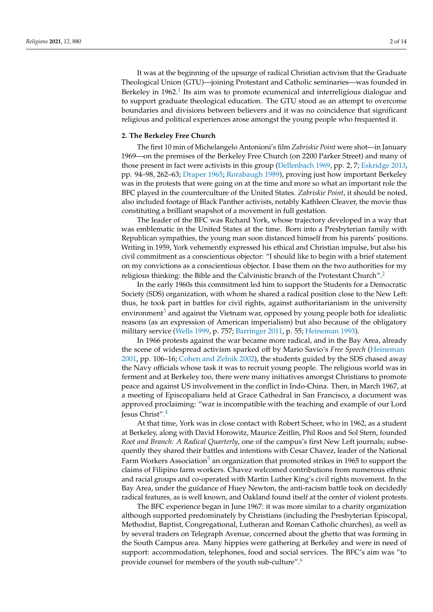<span id="page-1-0"></span>It was at the beginning of the upsurge of radical Christian activism that the Graduate Theological Union (GTU)—joining Protestant and Catholic seminaries—was founded in Berkeley in [1](#page-10-0)962.<sup>1</sup> Its aim was to promote ecumenical and interreligious dialogue and to support graduate theological education. The GTU stood as an attempt to overcome boundaries and divisions between believers and it was no coincidence that significant religious and political experiences arose amongst the young people who frequented it.

#### **2. The Berkeley Free Church**

The first 10 min of Michelangelo Antonioni's film *Zabriskie Point* were shot—in January 1969—on the premises of the Berkeley Free Church (on 2200 Parker Street) and many of those present in fact were activists in this group [\(Dellenbach](#page-12-5) [1969,](#page-12-5) pp. 2, 7; [Eskridge](#page-12-6) [2013,](#page-12-6) pp. 94–98, 262–63; [Draper](#page-12-7) [1965;](#page-12-7) [Rorabaugh](#page-13-4) [1989\)](#page-13-4), proving just how important Berkeley was in the protests that were going on at the time and more so what an important role the BFC played in the counterculture of the United States. *Zabriskie Point*, it should be noted, also included footage of Black Panther activists, notably Kathleen Cleaver, the movie thus constituting a brilliant snapshot of a movement in full gestation.

The leader of the BFC was Richard York, whose trajectory developed in a way that was emblematic in the United States at the time. Born into a Presbyterian family with Republican sympathies, the young man soon distanced himself from his parents' positions. Writing in 1959, York vehemently expressed his ethical and Christian impulse, but also his civil commitment as a conscientious objector: "I should like to begin with a brief statement on my convictions as a conscientious objector. I base them on the two authorities for my religious thinking: the Bible and the Calvinistic branch of the Protestant Church".[2](#page-10-1)

<span id="page-1-2"></span><span id="page-1-1"></span>In the early 1960s this commitment led him to support the Students for a Democratic Society (SDS) organization, with whom he shared a radical position close to the New Left: thus, he took part in battles for civil rights, against authoritarianism in the university environment<sup>[3](#page-10-2)</sup> and against the Vietnam war, opposed by young people both for idealistic reasons (as an expression of American imperialism) but also because of the obligatory military service [\(Wells](#page-13-5) [1999,](#page-13-5) p. 757; [Barringer](#page-12-8) [2011,](#page-12-8) p. 55; [Heineman](#page-12-9) [1993\)](#page-12-9).

In 1966 protests against the war became more radical, and in the Bay Area, already the scene of widespread activism sparked off by Mario Savio's *Free Speech* [\(Heineman](#page-12-10) [2001,](#page-12-10) pp. 106–16; [Cohen and Zelnik](#page-12-11) [2002\)](#page-12-11), the students guided by the SDS chased away the Navy officials whose task it was to recruit young people. The religious world was in ferment and at Berkeley too, there were many initiatives amongst Christians to promote peace and against US involvement in the conflict in Indo-China. Then, in March 1967, at a meeting of Episcopalians held at Grace Cathedral in San Francisco, a document was approved proclaiming: "war is incompatible with the teaching and example of our Lord Jesus Christ".[4](#page-10-3)

<span id="page-1-4"></span><span id="page-1-3"></span>At that time, York was in close contact with Robert Scheer, who in 1962, as a student at Berkeley, along with David Horowitz, Maurice Zeitlin, Phil Roos and Sol Stern, founded *Root and Branch: A Radical Quarterly*, one of the campus's first New Left journals; subsequently they shared their battles and intentions with Cesar Chavez, leader of the National Farm Workers Association<sup>[5](#page-10-4)</sup> an organization that promoted strikes in 1965 to support the claims of Filipino farm workers. Chavez welcomed contributions from numerous ethnic and racial groups and co-operated with Martin Luther King's civil rights movement. In the Bay Area, under the guidance of Huey Newton, the anti-racism battle took on decidedly radical features, as is well known, and Oakland found itself at the center of violent protests.

<span id="page-1-5"></span>The BFC experience began in June 1967: it was more similar to a charity organization although supported predominately by Christians (including the Presbyterian Episcopal, Methodist, Baptist, Congregational, Lutheran and Roman Catholic churches), as well as by several traders on Telegraph Avenue, concerned about the ghetto that was forming in the South Campus area. Many hippies were gathering at Berkeley and were in need of support: accommodation, telephones, food and social services. The BFC's aim was "to provide counsel for members of the youth sub-culture".[6](#page-10-5)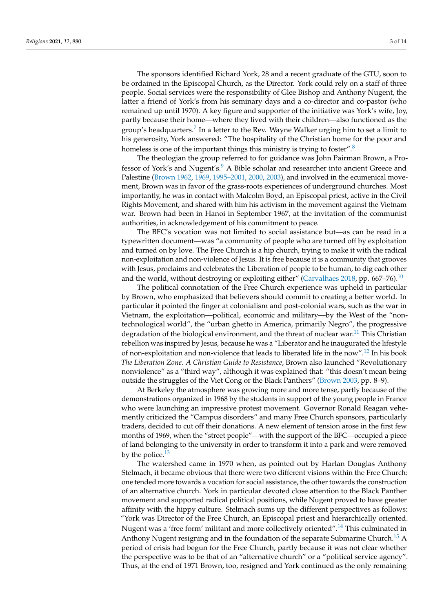The sponsors identified Richard York, 28 and a recent graduate of the GTU, soon to be ordained in the Episcopal Church, as the Director. York could rely on a staff of three people. Social services were the responsibility of Glee Bishop and Anthony Nugent, the latter a friend of York's from his seminary days and a co-director and co-pastor (who remained up until 1970). A key figure and supporter of the initiative was York's wife, Joy, partly because their home—where they lived with their children—also functioned as the group's headquarters.<sup>[7](#page-10-6)</sup> In a letter to the Rev. Wayne Walker urging him to set a limit to his generosity, York answered: "The hospitality of the Christian home for the poor and homeless is one of the important things this ministry is trying to foster".<sup>[8](#page-10-7)</sup>

<span id="page-2-2"></span><span id="page-2-1"></span><span id="page-2-0"></span>The theologian the group referred to for guidance was John Pairman Brown, a Pro-fessor of York's and Nugent's.<sup>[9](#page-10-8)</sup> A Bible scholar and researcher into ancient Greece and Palestine [\(Brown](#page-12-12) [1962,](#page-12-12) [1969,](#page-12-13) [1995–2001,](#page-12-14) [2000,](#page-12-15) [2003\)](#page-12-16), and involved in the ecumenical movement, Brown was in favor of the grass-roots experiences of underground churches. Most importantly, he was in contact with Malcolm Boyd, an Episcopal priest, active in the Civil Rights Movement, and shared with him his activism in the movement against the Vietnam war. Brown had been in Hanoi in September 1967, at the invitation of the communist authorities, in acknowledgement of his commitment to peace.

The BFC's vocation was not limited to social assistance but—as can be read in a typewritten document—was "a community of people who are turned off by exploitation and turned on by love. The Free Church is a hip church, trying to make it with the radical non-exploitation and non-violence of Jesus. It is free because it is a community that grooves with Jesus, proclaims and celebrates the Liberation of people to be human, to dig each other and the world, without destroying or exploiting either" [\(Carvalhaes](#page-12-17) [2018,](#page-12-17) pp. 667–76).<sup>[10](#page-10-9)</sup>

<span id="page-2-4"></span><span id="page-2-3"></span>The political connotation of the Free Church experience was upheld in particular by Brown, who emphasized that believers should commit to creating a better world. In particular it pointed the finger at colonialism and post-colonial wars, such as the war in Vietnam, the exploitation—political, economic and military—by the West of the "nontechnological world", the "urban ghetto in America, primarily Negro", the progressive degradation of the biological environment, and the threat of nuclear war.<sup>[11](#page-10-10)</sup> This Christian rebellion was inspired by Jesus, because he was a "Liberator and he inaugurated the lifestyle of non-exploitation and non-violence that leads to liberated life in the now".[12](#page-10-11) In his book *The Liberation Zone. A Christian Guide to Resistance*, Brown also launched "Revolutionary nonviolence" as a "third way", although it was explained that: "this doesn't mean being outside the struggles of the Viet Cong or the Black Panthers" [\(Brown](#page-12-16) [2003,](#page-12-16) pp. 8–9).

<span id="page-2-5"></span>At Berkeley the atmosphere was growing more and more tense, partly because of the demonstrations organized in 1968 by the students in support of the young people in France who were launching an impressive protest movement. Governor Ronald Reagan vehemently criticized the "Campus disorders" and many Free Church sponsors, particularly traders, decided to cut off their donations. A new element of tension arose in the first few months of 1969, when the "street people"—with the support of the BFC—occupied a piece of land belonging to the university in order to transform it into a park and were removed by the police. $^{13}$  $^{13}$  $^{13}$ 

<span id="page-2-8"></span><span id="page-2-7"></span><span id="page-2-6"></span>The watershed came in 1970 when, as pointed out by Harlan Douglas Anthony Stelmach, it became obvious that there were two different visions within the Free Church: one tended more towards a vocation for social assistance, the other towards the construction of an alternative church. York in particular devoted close attention to the Black Panther movement and supported radical political positions, while Nugent proved to have greater affinity with the hippy culture. Stelmach sums up the different perspectives as follows: "York was Director of the Free Church, an Episcopal priest and hierarchically oriented. Nugent was a 'free form' militant and more collectively oriented".<sup>[14](#page-10-13)</sup> This culminated in Anthony Nugent resigning and in the foundation of the separate Submarine Church.<sup>[15](#page-10-14)</sup> A period of crisis had begun for the Free Church, partly because it was not clear whether the perspective was to be that of an "alternative church" or a "political service agency". Thus, at the end of 1971 Brown, too, resigned and York continued as the only remaining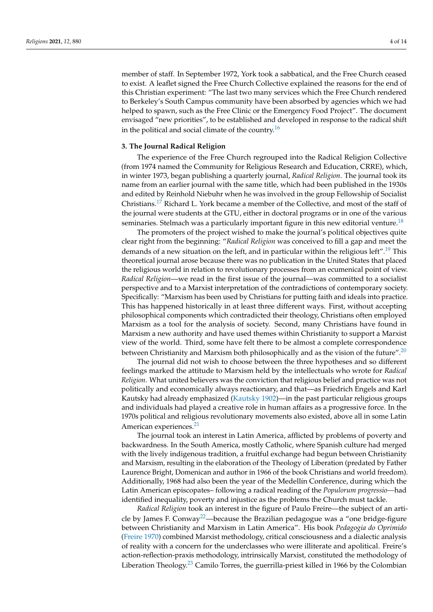member of staff. In September 1972, York took a sabbatical, and the Free Church ceased to exist. A leaflet signed the Free Church Collective explained the reasons for the end of this Christian experiment: "The last two many services which the Free Church rendered to Berkeley's South Campus community have been absorbed by agencies which we had helped to spawn, such as the Free Clinic or the Emergency Food Project". The document envisaged "new priorities", to be established and developed in response to the radical shift in the political and social climate of the country.<sup>[16](#page-10-15)</sup>

## <span id="page-3-0"></span>**3. The Journal Radical Religion**

The experience of the Free Church regrouped into the Radical Religion Collective (from 1974 named the Community for Religious Research and Education, CRRE), which, in winter 1973, began publishing a quarterly journal, *Radical Religion*. The journal took its name from an earlier journal with the same title, which had been published in the 1930s and edited by Reinhold Niebuhr when he was involved in the group Fellowship of Socialist Christians.[17](#page-10-16) Richard L. York became a member of the Collective, and most of the staff of the journal were students at the GTU, either in doctoral programs or in one of the various seminaries. Stelmach was a particularly important figure in this new editorial venture.<sup>[18](#page-10-17)</sup>

<span id="page-3-3"></span><span id="page-3-2"></span><span id="page-3-1"></span>The promoters of the project wished to make the journal's political objectives quite clear right from the beginning: "*Radical Religion* was conceived to fill a gap and meet the demands of a new situation on the left, and in particular within the religious left".<sup>[19](#page-10-18)</sup> This theoretical journal arose because there was no publication in the United States that placed the religious world in relation to revolutionary processes from an ecumenical point of view. *Radical Religion*—we read in the first issue of the journal—was committed to a socialist perspective and to a Marxist interpretation of the contradictions of contemporary society. Specifically: "Marxism has been used by Christians for putting faith and ideals into practice. This has happened historically in at least three different ways. First, without accepting philosophical components which contradicted their theology, Christians often employed Marxism as a tool for the analysis of society. Second, many Christians have found in Marxism a new authority and have used themes within Christianity to support a Marxist view of the world. Third, some have felt there to be almost a complete correspondence between Christianity and Marxism both philosophically and as the vision of the future".<sup>[20](#page-10-19)</sup>

<span id="page-3-4"></span>The journal did not wish to choose between the three hypotheses and so different feelings marked the attitude to Marxism held by the intellectuals who wrote for *Radical Religion*. What united believers was the conviction that religious belief and practice was not politically and economically always reactionary, and that—as Friedrich Engels and Karl Kautsky had already emphasized [\(Kautsky](#page-13-6) [1902\)](#page-13-6)—in the past particular religious groups and individuals had played a creative role in human affairs as a progressive force. In the 1970s political and religious revolutionary movements also existed, above all in some Latin American experiences.<sup>[21](#page-10-20)</sup>

<span id="page-3-5"></span>The journal took an interest in Latin America, afflicted by problems of poverty and backwardness. In the South America, mostly Catholic, where Spanish culture had merged with the lively indigenous tradition, a fruitful exchange had begun between Christianity and Marxism, resulting in the elaboration of the Theology of Liberation (predated by Father Laurence Bright, Domenican and author in 1966 of the book Christians and world freedom). Additionally, 1968 had also been the year of the Medellín Conference, during which the Latin American episcopates– following a radical reading of the *Populorum progressio—*had identified inequality, poverty and injustice as the problems the Church must tackle.

<span id="page-3-7"></span><span id="page-3-6"></span>*Radical Religion* took an interest in the figure of Paulo Freire—the subject of an arti-cle by James F. Conway<sup>[22](#page-10-21)</sup>—because the Brazilian pedagogue was a "one bridge-figure between Christianity and Marxism in Latin America". His book *Pedagogia do Oprimido* [\(Freire](#page-12-18) [1970\)](#page-12-18) combined Marxist methodology, critical consciousness and a dialectic analysis of reality with a concern for the underclasses who were illiterate and apolitical. Freire's action-reflection-praxis methodology, intrinsically Marxist, constituted the methodology of Liberation Theology.<sup>[23](#page-10-22)</sup> Camilo Torres, the guerrilla-priest killed in 1966 by the Colombian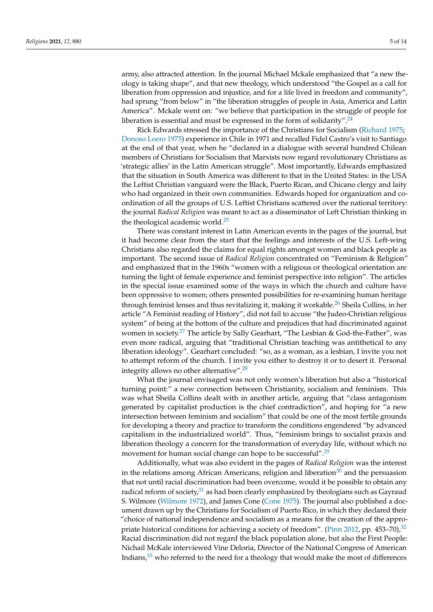army, also attracted attention. In the journal Michael Mckale emphasized that "a new theology is taking shape", and that new theology, which understood "the Gospel as a call for liberation from oppression and injustice, and for a life lived in freedom and community", had sprung "from below" in "the liberation struggles of people in Asia, America and Latin America". Mckale went on: "we believe that participation in the struggle of people for liberation is essential and must be expressed in the form of solidarity".<sup>[24](#page-10-23)</sup>

<span id="page-4-0"></span>Rick Edwards stressed the importance of the Christians for Socialism [\(Richard](#page-13-7) [1975;](#page-13-7) [Donoso Loero](#page-12-19) [1975\)](#page-12-19) experience in Chile in 1971 and recalled Fidel Castro's visit to Santiago at the end of that year, when he "declared in a dialogue with several hundred Chilean members of Christians for Socialism that Marxists now regard revolutionary Christians as 'strategic allies' in the Latin American struggle". Most importantly, Edwards emphasized that the situation in South America was different to that in the United States: in the USA the Leftist Christian vanguard were the Black, Puerto Rican, and Chicano clergy and laity who had organized in their own communities. Edwards hoped for organization and coordination of all the groups of U.S. Leftist Christians scattered over the national territory: the journal *Radical Religion* was meant to act as a disseminator of Left Christian thinking in the theological academic world.<sup>[25](#page-10-24)</sup>

<span id="page-4-2"></span><span id="page-4-1"></span>There was constant interest in Latin American events in the pages of the journal, but it had become clear from the start that the feelings and interests of the U.S. Left-wing Christians also regarded the claims for equal rights amongst women and black people as important. The second issue of *Radical Religion* concentrated on "Feminism & Religion" and emphasized that in the 1960s "women with a religious or theological orientation are turning the light of female experience and feminist perspective into religion". The articles in the special issue examined some of the ways in which the church and culture have been oppressive to women; others presented possibilities for re-examining human heritage through feminist lenses and thus revitalizing it, making it workable.<sup>[26](#page-10-25)</sup> Sheila Collins, in her article "A Feminist reading of History", did not fail to accuse "the Judeo-Christian religious system" of being at the bottom of the culture and prejudices that had discriminated against women in society.<sup>[27](#page-11-0)</sup> The article by Sally Gearhart, "The Lesbian & God-the-Father", was even more radical, arguing that "traditional Christian teaching was antithetical to any liberation ideology". Gearhart concluded: "so, as a woman, as a lesbian, I invite you not to attempt reform of the church. I invite you either to destroy it or to desert it. Personal integrity allows no other alternative".[28](#page-11-1)

<span id="page-4-4"></span><span id="page-4-3"></span>What the journal envisaged was not only women's liberation but also a "historical turning point:" a new connection between Christianity, socialism and feminism. This was what Sheila Collins dealt with in another article, arguing that "class antagonism generated by capitalist production is the chief contradiction", and hoping for "a new intersection between feminism and socialism" that could be one of the most fertile grounds for developing a theory and practice to transform the conditions engendered "by advanced capitalism in the industrialized world". Thus, "feminism brings to socialist praxis and liberation theology a concern for the transformation of everyday life, without which no movement for human social change can hope to be successful".<sup>[29](#page-11-2)</sup>

<span id="page-4-9"></span><span id="page-4-8"></span><span id="page-4-7"></span><span id="page-4-6"></span><span id="page-4-5"></span>Additionally, what was also evident in the pages of *Radical Religion* was the interest in the relations among African Americans, religion and liberation $30$  and the persuasion that not until racial discrimination had been overcome, would it be possible to obtain any radical reform of society, $31$  as had been clearly emphasized by theologians such as Gayraud S. Wilmore [\(Wilmore](#page-13-8) [1972\)](#page-13-8), and James Cone [\(Cone](#page-12-20) [1975\)](#page-12-20). The journal also published a document drawn up by the Christians for Socialism of Puerto Rico, in which they declared their "choice of national independence and socialism as a means for the creation of the appro-priate historical conditions for achieving a society of freedom". [\(Pinn](#page-13-9) [2012,](#page-13-9) pp. 453–70),<sup>[32](#page-11-5)</sup> Racial discrimination did not regard the black population alone, but also the First People: Nichail McKale interviewed Vine Deloria, Director of the National Congress of American Indians, $33$  who referred to the need for a theology that would make the most of differences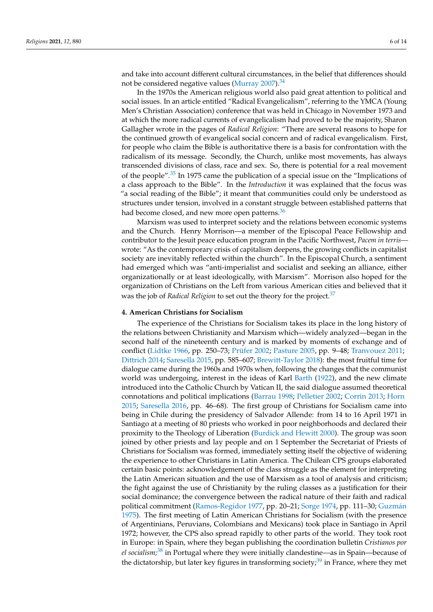<span id="page-5-0"></span>and take into account different cultural circumstances, in the belief that differences should not be considered negative values [\(Murray](#page-13-10) [2007\)](#page-13-10).<sup>[34](#page-11-7)</sup>

In the 1970s the American religious world also paid great attention to political and social issues. In an article entitled "Radical Evangelicalism", referring to the YMCA (Young Men's Christian Association) conference that was held in Chicago in November 1973 and at which the more radical currents of evangelicalism had proved to be the majority, Sharon Gallagher wrote in the pages of *Radical Religion*: "There are several reasons to hope for the continued growth of evangelical social concern and of radical evangelicalism. First, for people who claim the Bible is authoritative there is a basis for confrontation with the radicalism of its message. Secondly, the Church, unlike most movements, has always transcended divisions of class, race and sex. So, there is potential for a real movement of the people".<sup>[35](#page-11-8)</sup> In 1975 came the publication of a special issue on the "Implications of a class approach to the Bible". In the *Introduction* it was explained that the focus was "a social reading of the Bible"; it meant that communities could only be understood as structures under tension, involved in a constant struggle between established patterns that had become closed, and new more open patterns.<sup>[36](#page-11-9)</sup>

<span id="page-5-2"></span><span id="page-5-1"></span>Marxism was used to interpret society and the relations between economic systems and the Church. Henry Morrison—a member of the Episcopal Peace Fellowship and contributor to the Jesuit peace education program in the Pacific Northwest, *Pacem in terris* wrote: "As the contemporary crisis of capitalism deepens, the growing conflicts in capitalist society are inevitably reflected within the church". In the Episcopal Church, a sentiment had emerged which was "anti-imperialist and socialist and seeking an alliance, either organizationally or at least ideologically, with Marxism". Morrison also hoped for the organization of Christians on the Left from various American cities and believed that it was the job of *Radical Religion* to set out the theory for the project.<sup>[37](#page-11-10)</sup>

#### <span id="page-5-3"></span>**4. American Christians for Socialism**

<span id="page-5-5"></span><span id="page-5-4"></span>The experience of the Christians for Socialism takes its place in the long history of the relations between Christianity and Marxism which—widely analyzed—began in the second half of the nineteenth century and is marked by moments of exchange and of conflict [\(Lidtke](#page-13-11) [1966,](#page-13-11) pp. 250–73; [Prüfer](#page-13-12) [2002;](#page-13-12) [Pasture](#page-13-13) [2005,](#page-13-13) pp. 9–48; [Tranvouez](#page-13-14) [2011;](#page-13-14) [Dittrich](#page-12-21) [2014;](#page-12-21) [Saresella](#page-13-15) [2015,](#page-13-15) pp. 585–607; [Brewitt-Taylor](#page-12-22) [2018\)](#page-12-22): the most fruitful time for dialogue came during the 1960s and 1970s when, following the changes that the communist world was undergoing, interest in the ideas of Karl [Barth](#page-12-23) [\(1922\)](#page-12-23), and the new climate introduced into the Catholic Church by Vatican II, the said dialogue assumed theoretical connotations and political implications [\(Barrau](#page-12-24) [1998;](#page-12-24) [Pelletier](#page-13-16) [2002;](#page-13-16) [Corrin](#page-12-25) [2013;](#page-12-25) [Horn](#page-13-17) [2015;](#page-13-17) [Saresella](#page-13-18) [2016,](#page-13-18) pp. 46–68). The first group of Christians for Socialism came into being in Chile during the presidency of Salvador Allende: from 14 to 16 April 1971 in Santiago at a meeting of 80 priests who worked in poor neighborhoods and declared their proximity to the Theology of Liberation [\(Burdick and Hewitt](#page-12-26) [2000\)](#page-12-26). The group was soon joined by other priests and lay people and on 1 September the Secretariat of Priests of Christians for Socialism was formed, immediately setting itself the objective of widening the experience to other Christians in Latin America. The Chilean CPS groups elaborated certain basic points: acknowledgement of the class struggle as the element for interpreting the Latin American situation and the use of Marxism as a tool of analysis and criticism; the fight against the use of Christianity by the ruling classes as a justification for their social dominance; the convergence between the radical nature of their faith and radical political commitment [\(Ramos-Regidor](#page-13-19) [1977,](#page-13-19) pp. 20–21; [Sorge](#page-13-20) [1974,](#page-13-20) pp. 111–30; [Guzm](#page-12-27)án [1975\)](#page-12-27). The first meeting of Latin American Christians for Socialism (with the presence of Argentinians, Peruvians, Colombians and Mexicans) took place in Santiago in April 1972; however, the CPS also spread rapidly to other parts of the world. They took root in Europe: in Spain, where they began publishing the coordination bulletin *Cristianos por el socialism;*[38](#page-11-11) in Portugal where they were initially clandestine—as in Spain—because of the dictatorship, but later key figures in transforming society; $39$  in France, where they met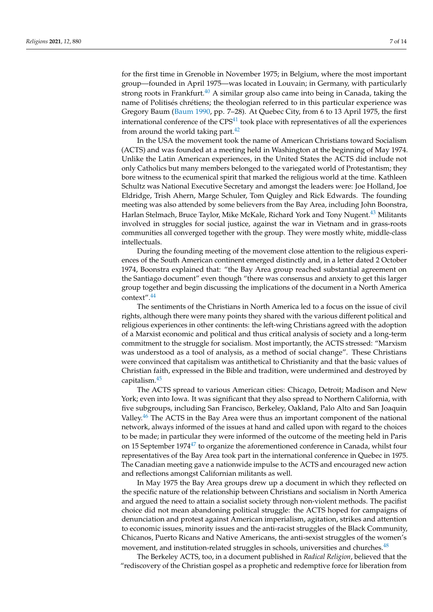<span id="page-6-0"></span>for the first time in Grenoble in November 1975; in Belgium, where the most important group—founded in April 1975—was located in Louvain; in Germany, with particularly strong roots in Frankfurt. $40$  A similar group also came into being in Canada, taking the name of Politisés chrétiens; the theologian referred to in this particular experience was Gregory Baum [\(Baum](#page-12-28) [1990,](#page-12-28) pp. 7–28). At Quebec City, from 6 to 13 April 1975, the first international conference of the  $CPS<sup>41</sup>$  $CPS<sup>41</sup>$  $CPS<sup>41</sup>$  took place with representatives of all the experiences from around the world taking part. $42$ 

<span id="page-6-2"></span><span id="page-6-1"></span>In the USA the movement took the name of American Christians toward Socialism (ACTS) and was founded at a meeting held in Washington at the beginning of May 1974. Unlike the Latin American experiences, in the United States the ACTS did include not only Catholics but many members belonged to the variegated world of Protestantism; they bore witness to the ecumenical spirit that marked the religious world at the time. Kathleen Schultz was National Executive Secretary and amongst the leaders were: Joe Holland, Joe Eldridge, Trish Ahern, Marge Schuler, Tom Quigley and Rick Edwards. The founding meeting was also attended by some believers from the Bay Area, including John Boonstra, Harlan Stelmach, Bruce Taylor, Mike McKale, Richard York and Tony Nugent.[43](#page-11-16) Militants involved in struggles for social justice, against the war in Vietnam and in grass-roots communities all converged together with the group. They were mostly white, middle-class intellectuals.

<span id="page-6-3"></span>During the founding meeting of the movement close attention to the religious experiences of the South American continent emerged distinctly and, in a letter dated 2 October 1974, Boonstra explained that: "the Bay Area group reached substantial agreement on the Santiago document" even though "there was consensus and anxiety to get this larger group together and begin discussing the implications of the document in a North America context".[44](#page-11-17)

<span id="page-6-4"></span>The sentiments of the Christians in North America led to a focus on the issue of civil rights, although there were many points they shared with the various different political and religious experiences in other continents: the left-wing Christians agreed with the adoption of a Marxist economic and political and thus critical analysis of society and a long-term commitment to the struggle for socialism. Most importantly, the ACTS stressed: "Marxism was understood as a tool of analysis, as a method of social change". These Christians were convinced that capitalism was antithetical to Christianity and that the basic values of Christian faith, expressed in the Bible and tradition, were undermined and destroyed by capitalism.[45](#page-11-18)

<span id="page-6-6"></span><span id="page-6-5"></span>The ACTS spread to various American cities: Chicago, Detroit; Madison and New York; even into Iowa. It was significant that they also spread to Northern California, with five subgroups, including San Francisco, Berkeley, Oakland, Palo Alto and San Joaquin Valley. $46$  The ACTS in the Bay Area were thus an important component of the national network, always informed of the issues at hand and called upon with regard to the choices to be made; in particular they were informed of the outcome of the meeting held in Paris on 15 September 1974 $47$  to organize the aforementioned conference in Canada, whilst four representatives of the Bay Area took part in the international conference in Quebec in 1975. The Canadian meeting gave a nationwide impulse to the ACTS and encouraged new action and reflections amongst Californian militants as well.

<span id="page-6-7"></span>In May 1975 the Bay Area groups drew up a document in which they reflected on the specific nature of the relationship between Christians and socialism in North America and argued the need to attain a socialist society through non-violent methods. The pacifist choice did not mean abandoning political struggle: the ACTS hoped for campaigns of denunciation and protest against American imperialism, agitation, strikes and attention to economic issues, minority issues and the anti-racist struggles of the Black Community, Chicanos, Puerto Ricans and Native Americans, the anti-sexist struggles of the women's movement, and institution-related struggles in schools, universities and churches.<sup>[48](#page-11-21)</sup>

<span id="page-6-8"></span>The Berkeley ACTS, too, in a document published in *Radical Religion*, believed that the "rediscovery of the Christian gospel as a prophetic and redemptive force for liberation from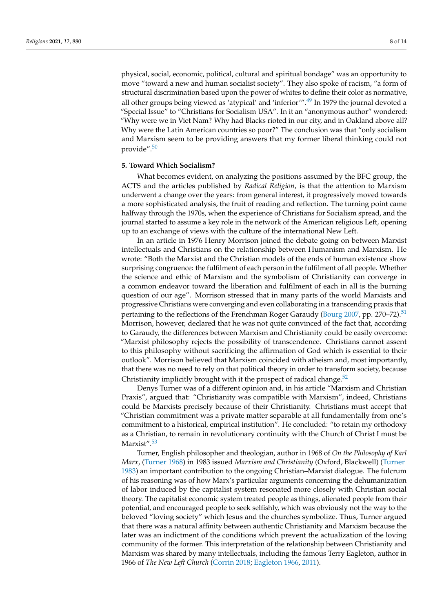<span id="page-7-0"></span>physical, social, economic, political, cultural and spiritual bondage" was an opportunity to move "toward a new and human socialist society". They also spoke of racism, "a form of structural discrimination based upon the power of whites to define their color as normative, all other groups being viewed as 'atypical' and 'inferior'".<sup>[49](#page-11-22)</sup> In 1979 the journal devoted a "Special Issue" to "Christians for Socialism USA". In it an "anonymous author" wondered: "Why were we in Viet Nam? Why had Blacks rioted in our city, and in Oakland above all? Why were the Latin American countries so poor?" The conclusion was that "only socialism and Marxism seem to be providing answers that my former liberal thinking could not provide".[50](#page-11-23)

### <span id="page-7-1"></span>**5. Toward Which Socialism?**

What becomes evident, on analyzing the positions assumed by the BFC group, the ACTS and the articles published by *Radical Religion*, is that the attention to Marxism underwent a change over the years: from general interest, it progressively moved towards a more sophisticated analysis, the fruit of reading and reflection. The turning point came halfway through the 1970s, when the experience of Christians for Socialism spread, and the journal started to assume a key role in the network of the American religious Left, opening up to an exchange of views with the culture of the international New Left.

<span id="page-7-2"></span>In an article in 1976 Henry Morrison joined the debate going on between Marxist intellectuals and Christians on the relationship between Humanism and Marxism. He wrote: "Both the Marxist and the Christian models of the ends of human existence show surprising congruence: the fulfilment of each person in the fulfilment of all people. Whether the science and ethic of Marxism and the symbolism of Christianity can converge in a common endeavor toward the liberation and fulfilment of each in all is the burning question of our age". Morrison stressed that in many parts of the world Marxists and progressive Christians were converging and even collaborating in a transcending praxis that pertaining to the reflections of the Frenchman Roger Garaudy [\(Bourg](#page-12-29) [2007,](#page-12-29) pp. 270–72).<sup>[51](#page-11-24)</sup> Morrison, however, declared that he was not quite convinced of the fact that, according to Garaudy, the differences between Marxism and Christianity could be easily overcome: "Marxist philosophy rejects the possibility of transcendence. Christians cannot assent to this philosophy without sacrificing the affirmation of God which is essential to their outlook". Morrison believed that Marxism coincided with atheism and, most importantly, that there was no need to rely on that political theory in order to transform society, because Christianity implicitly brought with it the prospect of radical change. $52$ 

<span id="page-7-3"></span>Denys Turner was of a different opinion and, in his article "Marxism and Christian Praxis", argued that: "Christianity was compatible with Marxism", indeed, Christians could be Marxists precisely because of their Christianity. Christians must accept that "Christian commitment was a private matter separable at all fundamentally from one's commitment to a historical, empirical institution". He concluded: "to retain my orthodoxy as a Christian, to remain in revolutionary continuity with the Church of Christ I must be Marxist".<sup>[53](#page-11-26)</sup>

<span id="page-7-4"></span>Turner, English philosopher and theologian, author in 1968 of *On the Philosophy of Karl Marx*, [\(Turner](#page-13-21) [1968\)](#page-13-21) in 1983 issued *Marxism and Christianity* (Oxford, Blackwell) [\(Turner](#page-13-22) [1983\)](#page-13-22) an important contribution to the ongoing Christian–Marxist dialogue. The fulcrum of his reasoning was of how Marx's particular arguments concerning the dehumanization of labor induced by the capitalist system resonated more closely with Christian social theory. The capitalist economic system treated people as things, alienated people from their potential, and encouraged people to seek selfishly, which was obviously not the way to the beloved "loving society" which Jesus and the churches symbolize. Thus, Turner argued that there was a natural affinity between authentic Christianity and Marxism because the later was an indictment of the conditions which prevent the actualization of the loving community of the former. This interpretation of the relationship between Christianity and Marxism was shared by many intellectuals, including the famous Terry Eagleton, author in 1966 of *The New Left Church* [\(Corrin](#page-12-30) [2018;](#page-12-30) [Eagleton](#page-12-31) [1966,](#page-12-31) [2011\)](#page-12-32).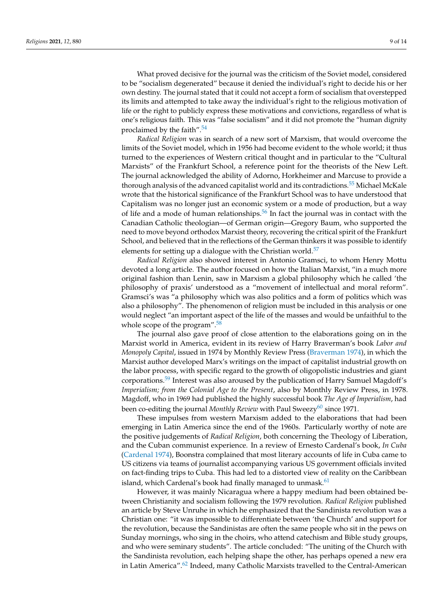What proved decisive for the journal was the criticism of the Soviet model, considered to be "socialism degenerated" because it denied the individual's right to decide his or her own destiny. The journal stated that it could not accept a form of socialism that overstepped its limits and attempted to take away the individual's right to the religious motivation of life or the right to publicly express these motivations and convictions, regardless of what is one's religious faith. This was "false socialism" and it did not promote the "human dignity proclaimed by the faith".<sup>[54](#page-11-27)</sup>

<span id="page-8-1"></span><span id="page-8-0"></span>*Radical Religion* was in search of a new sort of Marxism, that would overcome the limits of the Soviet model, which in 1956 had become evident to the whole world; it thus turned to the experiences of Western critical thought and in particular to the "Cultural Marxists" of the Frankfurt School, a reference point for the theorists of the New Left. The journal acknowledged the ability of Adorno, Horkheimer and Marcuse to provide a thorough analysis of the advanced capitalist world and its contradictions.<sup>[55](#page-11-28)</sup> Michael McKale wrote that the historical significance of the Frankfurt School was to have understood that Capitalism was no longer just an economic system or a mode of production, but a way of life and a mode of human relationships.<sup>[56](#page-11-29)</sup> In fact the journal was in contact with the Canadian Catholic theologian—of German origin—Gregory Baum, who supported the need to move beyond orthodox Marxist theory, recovering the critical spirit of the Frankfurt School, and believed that in the reflections of the German thinkers it was possible to identify elements for setting up a dialogue with the Christian world.<sup>[57](#page-11-30)</sup>

<span id="page-8-3"></span><span id="page-8-2"></span>*Radical Religion* also showed interest in Antonio Gramsci, to whom Henry Mottu devoted a long article. The author focused on how the Italian Marxist, "in a much more original fashion than Lenin, saw in Marxism a global philosophy which he called 'the philosophy of praxis' understood as a "movement of intellectual and moral reform". Gramsci's was "a philosophy which was also politics and a form of politics which was also a philosophy". The phenomenon of religion must be included in this analysis or one would neglect "an important aspect of the life of the masses and would be unfaithful to the whole scope of the program".<sup>[58](#page-11-31)</sup>

<span id="page-8-4"></span>The journal also gave proof of close attention to the elaborations going on in the Marxist world in America, evident in its review of Harry Braverman's book *Labor and Monopoly Capital*, issued in 1974 by Monthly Review Press [\(Braverman](#page-12-33) [1974\)](#page-12-33), in which the Marxist author developed Marx's writings on the impact of capitalist industrial growth on the labor process, with specific regard to the growth of oligopolistic industries and giant corporations.<sup>[59](#page-11-32)</sup> Interest was also aroused by the publication of Harry Samuel Magdoff's *Imperialism; from the Colonial Age to the Present*, also by Monthly Review Press, in 1978. Magdoff, who in 1969 had published the highly successful book *The Age of Imperialism*, had been co-editing the journal *Monthly Review* with Paul Sweezy<sup>[60](#page-11-33)</sup> since 1971.

<span id="page-8-6"></span><span id="page-8-5"></span>These impulses from western Marxism added to the elaborations that had been emerging in Latin America since the end of the 1960s. Particularly worthy of note are the positive judgements of *Radical Religion*, both concerning the Theology of Liberation, and the Cuban communist experience. In a review of Ernesto Cardenal's book, *In Cuba* [\(Cardenal](#page-12-34) [1974\)](#page-12-34), Boonstra complained that most literary accounts of life in Cuba came to US citizens via teams of journalist accompanying various US government officials invited on fact-finding trips to Cuba. This had led to a distorted view of reality on the Caribbean island, which Cardenal's book had finally managed to unmask. $61$ 

<span id="page-8-8"></span><span id="page-8-7"></span>However, it was mainly Nicaragua where a happy medium had been obtained between Christianity and socialism following the 1979 revolution. *Radical Religion* published an article by Steve Unruhe in which he emphasized that the Sandinista revolution was a Christian one: "it was impossible to differentiate between 'the Church' and support for the revolution, because the Sandinistas are often the same people who sit in the pews on Sunday mornings, who sing in the choirs, who attend catechism and Bible study groups, and who were seminary students". The article concluded: "The uniting of the Church with the Sandinista revolution, each helping shape the other, has perhaps opened a new era in Latin America".[62](#page-12-35) Indeed, many Catholic Marxists travelled to the Central-American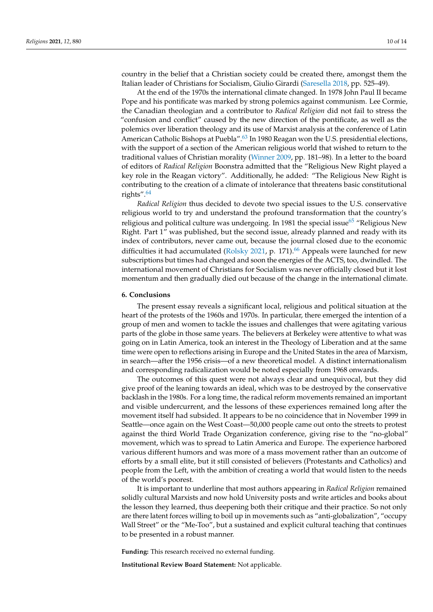country in the belief that a Christian society could be created there, amongst them the Italian leader of Christians for Socialism, Giulio Girardi [\(Saresella](#page-13-23) [2018,](#page-13-23) pp. 525–49).

<span id="page-9-0"></span>At the end of the 1970s the international climate changed. In 1978 John Paul II became Pope and his pontificate was marked by strong polemics against communism. Lee Cormie, the Canadian theologian and a contributor to *Radical Religion* did not fail to stress the "confusion and conflict" caused by the new direction of the pontificate, as well as the polemics over liberation theology and its use of Marxist analysis at the conference of Latin American Catholic Bishops at Puebla".<sup>[63](#page-12-36)</sup> In 1980 Reagan won the U.S. presidential elections, with the support of a section of the American religious world that wished to return to the traditional values of Christian morality [\(Winner](#page-13-24) [2009,](#page-13-24) pp. 181–98). In a letter to the board of editors of *Radical Religion* Boonstra admitted that the "Religious New Right played a key role in the Reagan victory". Additionally, he added: "The Religious New Right is contributing to the creation of a climate of intolerance that threatens basic constitutional rights".[64](#page-12-37)

<span id="page-9-3"></span><span id="page-9-2"></span><span id="page-9-1"></span>*Radical Religion* thus decided to devote two special issues to the U.S. conservative religious world to try and understand the profound transformation that the country's religious and political culture was undergoing. In 1981 the special issue  $65$  "Religious New Right. Part 1" was published, but the second issue, already planned and ready with its index of contributors, never came out, because the journal closed due to the economic difficulties it had accumulated ( $Rolsky 2021$ , p. 171).<sup>[66](#page-12-39)</sup> Appeals were launched for new subscriptions but times had changed and soon the energies of the ACTS, too, dwindled. The international movement of Christians for Socialism was never officially closed but it lost momentum and then gradually died out because of the change in the international climate.

#### **6. Conclusions**

The present essay reveals a significant local, religious and political situation at the heart of the protests of the 1960s and 1970s. In particular, there emerged the intention of a group of men and women to tackle the issues and challenges that were agitating various parts of the globe in those same years. The believers at Berkeley were attentive to what was going on in Latin America, took an interest in the Theology of Liberation and at the same time were open to reflections arising in Europe and the United States in the area of Marxism, in search—after the 1956 crisis—of a new theoretical model. A distinct internationalism and corresponding radicalization would be noted especially from 1968 onwards.

The outcomes of this quest were not always clear and unequivocal, but they did give proof of the leaning towards an ideal, which was to be destroyed by the conservative backlash in the 1980s. For a long time, the radical reform movements remained an important and visible undercurrent, and the lessons of these experiences remained long after the movement itself had subsided. It appears to be no coincidence that in November 1999 in Seattle—once again on the West Coast—50,000 people came out onto the streets to protest against the third World Trade Organization conference, giving rise to the "no-global" movement, which was to spread to Latin America and Europe. The experience harbored various different humors and was more of a mass movement rather than an outcome of efforts by a small elite, but it still consisted of believers (Protestants and Catholics) and people from the Left, with the ambition of creating a world that would listen to the needs of the world's poorest.

It is important to underline that most authors appearing in *Radical Religion* remained solidly cultural Marxists and now hold University posts and write articles and books about the lesson they learned, thus deepening both their critique and their practice. So not only are there latent forces willing to boil up in movements such as "anti-globalization", "occupy Wall Street" or the "Me-Too", but a sustained and explicit cultural teaching that continues to be presented in a robust manner.

**Funding:** This research received no external funding.

**Institutional Review Board Statement:** Not applicable.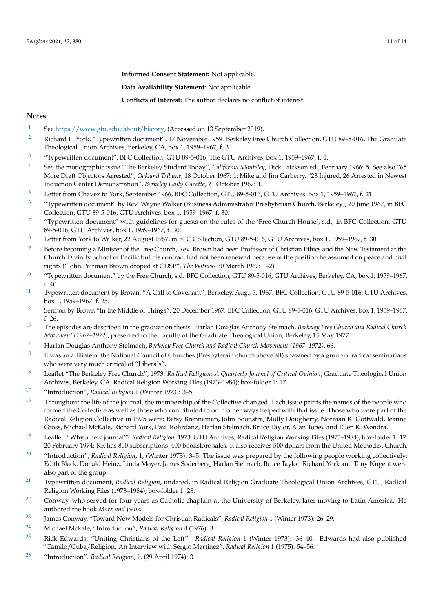**Informed Consent Statement:** Not applicable.

**Data Availability Statement:** Not applicable.

**Conflicts of Interest:** The author declares no conflict of interest.

#### **Notes**

- <span id="page-10-0"></span><sup>[1](#page-1-0)</sup> See [https://www.gtu.edu/about/history,](https://www.gtu.edu/about/history) (Accessed on 13 September 2019).
- <span id="page-10-1"></span><sup>[2](#page-1-1)</sup> Richard L. York, "Typewritten document", 17 November 1959. Berkeley Free Church Collection, GTU 89-5-016, The Graduate Theological Union Archives, Berkeley, CA, box 1, 1959–1967, f. 3.
- <span id="page-10-2"></span>[3](#page-1-2) "Typewritten document", BFC Collection, GTU 89-5-016, The GTU Archives, box 1, 1959–1967, f. 1.
- <span id="page-10-3"></span>[4](#page-1-3) See the monographic issue "The Berkeley Student Today", *California Monteley*, Dick Erickson ed., February 1966: 5. See also "65 More Draft Objectors Arrested", *Oakland Tribune*, 18 October 1967: 1; Mike and Jim Carberry, "23 Injured, 26 Arrested in Newest Induction Center Demonstration", *Berkeley Daily Gazette*, 21 October 1967: 1.
- <span id="page-10-4"></span>[5](#page-1-4) Letter from Chavez to York, September 1966, BFC Collection, GTU 89-5-016, GTU Archives, box 1, 1959–1967, f. 21.
- <span id="page-10-5"></span>[6](#page-1-5) "Typewritten document" by Rev. Wayne Walker (Business Administrator Presbyterian Church, Berkeley), 20 June 1967, in BFC Collection, GTU 89-5-016, GTU Archives, box 1, 1959–1967, f. 30.
- <span id="page-10-6"></span>[7](#page-2-0) "Typewritten document" with guidelines for guests on the rules of the 'Free Church House', s.d., in BFC Collection, GTU 89-5-016, GTU Archives, box 1, 1959–1967, f. 30.
- <span id="page-10-7"></span>[8](#page-2-1) Letter from York to Walker, 22 August 1967, in BFC Collection, GTU 89-5-016, GTU Archives, box 1, 1959–1967, f. 30.
- <span id="page-10-8"></span><sup>[9](#page-2-2)</sup> Before becoming a Minister of the Free Church, Rev. Brown had been Professor of Christian Ethics and the New Testament at the Church Divinity School of Pacific but his contract had not been renewed because of the position he assumed on peace and civil rights ("John Pairman Brown droped at CDSP", *The Witness* 30 March 1967: 1–2).
- <span id="page-10-9"></span>[10](#page-2-3) "Typewritten document" by the Free Church, s.d. BFC Collection, GTU 89-5-016, GTU Archives, Berkeley, CA, box 1, 1959–1967, f. 40.
- <span id="page-10-10"></span><sup>[11](#page-2-4)</sup> Typewritten document by Brown, "A Call to Covenant", Berkeley, Aug., 5, 1967. BFC Collection, GTU 89-5-016, GTU Archives, box 1, 1959–1967, f. 25.
- <span id="page-10-11"></span>[12](#page-2-5) Sermon by Brown "In the Middle of Things". 20 December 1967. BFC Collection, GTU 89-5-016, GTU Archives, box 1, 1959–1967, f. 26.
- <span id="page-10-12"></span>[13](#page-2-6) The episodes are described in the graduation thesis: Harlan Douglas Anthony Stelmach, *Berkeley Free Church and Radical Church Movement (1967–1972)*, presented to the Faculty of the Graduate Theological Union, Berkeley, 15 May 1977.
- <span id="page-10-13"></span>[14](#page-2-7) Harlan Douglas Anthony Stelmach, *Berkeley Free Church and Radical Church Movement (1967–1972)*, 66.
- <span id="page-10-14"></span><sup>[15](#page-2-8)</sup> It was an affiliate of the National Council of Churches (Presbyterain church above all) spawned by a group of radical seminarians who were very much critical of "Liberals".
- <span id="page-10-15"></span>[16](#page-3-0) Leaflet "The Berkeley Free Church", 1973. *Radical Religion: A Quarterly Journal of Critical Opinion*, Graduate Theological Union Archives, Berkeley, CA; Radical Religion Working Files (1973–1984); box-folder 1: 17.
- <span id="page-10-16"></span>[17](#page-3-1) "Introduction", *Radical Religion* 1 (Winter 1973): 3–5.
- <span id="page-10-17"></span><sup>[18](#page-3-2)</sup> Throughout the life of the journal, the membership of the Collective changed. Each issue prints the names of the people who formed the Collective as well as those who contributed to or in other ways helped with that issue. Those who were part of the Radical Religion Collective in 1975 were: Betsy Brenneman, John Boonstra, Molly Dougherty, Norman K. Gottwald, Jeanne Gross, Michael McKale, Richard York, Paul Rohrdanz, Harlan Stelmach, Bruce Taylor, Alan Tobey and Ellen K. Wondra.
- <span id="page-10-18"></span>[19](#page-3-3) Leaflet. "Why a new journal"? *Radical Religion*, 1973, GTU Archives, Radical Religion Working Files (1973–1984); box-folder 1: 17. 20 February 1974: RR has 800 subscriptions; 400 bookstore sales. It also receives 500 dollars from the United Methodist Church.
- <span id="page-10-19"></span>[20](#page-3-4) "Introduction", *Radical Religion*, 1, (Winter 1973): 3–5. The issue was prepared by the following people working collectively: Edith Black, Donald Heinz, Linda Moyer, James Soderberg, Harlan Stelmach, Bruce Taylor. Richard York and Tony Nugent were also part of the group.
- <span id="page-10-20"></span>[21](#page-3-5) Typewritten document, *Radical Religion*, undated, in Radical Religion Graduate Theological Union Archives, GTU, Radical Religion Working Files (1973–1984); box-folder 1: 28.
- <span id="page-10-21"></span> $22$  Conway, who served for four years as Catholic chaplain at the University of Berkeley, later moving to Latin America. He authored the book *Marx and Jesus*.
- <span id="page-10-22"></span>[23](#page-3-7) James Conway, "Toward New Models for Christian Radicals", *Radical Religion* 1 (Winter 1973): 26–29.
- <span id="page-10-23"></span>[24](#page-4-0) Michael Mckale, "Introduction", *Radical Religion* 4 (1976): 3.
- <span id="page-10-24"></span>[25](#page-4-1) Rick Edwards, "Uniting Christians of the Left". *Radical Religion* 1 (Winter 1973): 36–40. Edwards had also published "Camilo/Cuba/Religion. An Interview with Sergio Martinez", *Radical Religion* 1 (1975): 54–56.
- <span id="page-10-25"></span>[26](#page-4-2) "Introduction". *Radical Religion*, 1, (29 April 1974): 3.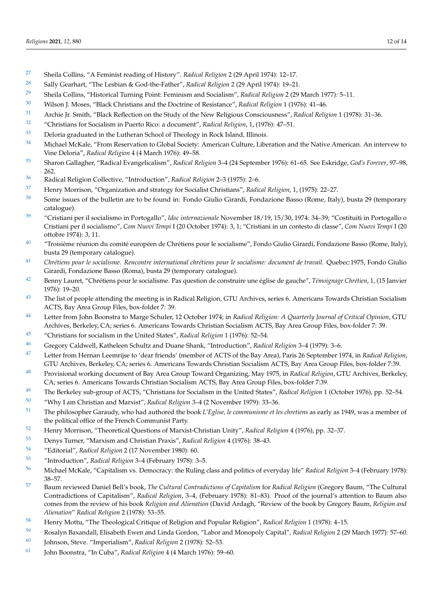- <span id="page-11-0"></span>Sheila Collins, "A Feminist reading of History". *Radical Religion* 2 (29 April 1974): 12–17.
- <span id="page-11-1"></span>Sally Gearhart, "The Lesbian & God-the-Father", *Radical Religion* 2 (29 April 1974): 19–21.
- <span id="page-11-2"></span>Sheila Collins, "Historical Turning Point: Feminism and Socialism", *Radical Religion* 2 (29 March 1977): 5–11.
- <span id="page-11-3"></span>Wilson J. Moses, "Black Christians and the Doctrine of Resistance", *Radical Religion* 1 (1976): 41–46.
- <span id="page-11-4"></span>Archie Jr. Smith, "Black Reflection on the Study of the New Religious Consciousness", *Radical Religion* 1 (1978): 31–36.
- <span id="page-11-5"></span>"Christians for Socialism in Puerto Rico: a document", *Radical Religion*, 1, (1976): 47–51.
- <span id="page-11-6"></span>Deloria graduated in the Lutheran School of Theology in Rock Island, Illinois.
- <span id="page-11-7"></span><sup>[34](#page-5-0)</sup> Michael McKale, "From Reservation to Global Society: American Culture, Liberation and the Native American. An intervew to Vine Deloria", *Radical Religion* 4 (4 March 1976): 49–58.
- <span id="page-11-8"></span> Sharon Gallagher, "Radical Evangelicalism", *Radical Religion* 3–4 (24 September 1976): 61–65. See Eskridge, *God's Forever*, 97–98, 262.
- <span id="page-11-9"></span>Radical Religion Collective, "Introduction", *Radical Religion* 2–3 (1975): 2–6.
- <span id="page-11-10"></span>Henry Morrison, "Organization and strategy for Socialist Christians", *Radical Religion*, 1, (1975): 22–27.
- <span id="page-11-11"></span> Some issues of the bulletin are to be found in: Fondo Giulio Girardi, Fondazione Basso (Rome, Italy), busta 29 (temporary catalogue).
- <span id="page-11-12"></span> "Cristiani per il socialismo in Portogallo", *Idoc internazionale* November 18/19, 15/30, 1974: 34–39; "Costituiti in Portogallo o Cristiani per il socialismo", *Com Nuovi Tempi* I (20 October 1974): 3, 1; "Cristiani in un contesto di classe", *Com Nuovi Tempi* I (20 ottobre 1974): 3, 11.
- <span id="page-11-13"></span><sup>[40](#page-6-0)</sup> "Troisième réunion du comité européen de Chrétiens pour le socialisme", Fondo Giulio Girardi, Fondazione Basso (Rome, Italy), busta 29 (temporary catalogue).
- <span id="page-11-14"></span> *Chrétiens pour le socialisme. Rencontre international chrétiens pour le socialisme: document de travail*. Quebec:1975, Fondo Giulio Girardi, Fondazione Basso (Roma), busta 29 (temporary catalogue).
- <span id="page-11-15"></span> Benny Lauret, "Chrétiens pour le socialisme. Pas question de construire une église de gauche", *Témoignage Chrétien*, 1, (15 Janvier 1976): 19–20.
- <span id="page-11-16"></span> The list of people attending the meeting is in Radical Religion, GTU Archives, series 6. Americans Towards Christian Socialism ACTS, Bay Area Group Files, box-folder 7: 39.
- <span id="page-11-17"></span> Letter from John Boonstra to Marge Schuler, 12 October 1974; in *Radical Religion: A Quarterly Journal of Critical Opinion*, GTU Archives, Berkeley, CA; series 6. Americans Towards Christian Socialism ACTS, Bay Area Group Files, box-folder 7: 39.
- <span id="page-11-18"></span>"Christians for socialism in the United States", *Radical Religion* 1 (1976): 52–54.
- <span id="page-11-19"></span>Gregory Caldwell, Katheleen Schultz and Duane Shank, "Introduction", *Radical Religion* 3–4 (1979): 3–6.
- <span id="page-11-20"></span> Letter from Hernan Leemrijse to 'dear friends' (member of ACTS of the Bay Area), Paris 26 September 1974, in *Radical Religion*, GTU Archives, Berkeley, CA; series 6. Americans Towards Christian Socialism ACTS, Bay Area Group Files, box-folder 7:39.
- <span id="page-11-21"></span> Provisional working document of Bay Area Group Toward Organizing, May 1975, in *Radical Religion*, GTU Archives, Berkeley, CA; series 6. Americans Towards Christian Socialism ACTS, Bay Area Group Files, box-folder 7:39.
- <span id="page-11-22"></span>The Berkeley sub-group of ACTS, "Christians for Socialism in the United States", *Radical Religion* 1 (October 1976), pp. 52–54.
- <span id="page-11-23"></span>"Why I am Christian and Marxist", *Radical Religion* 3–4 (2 November 1979): 33–36.
- <span id="page-11-24"></span> The philosopher Garaudy, who had authored the book *L'Eglise, le communisme et les chretiens* as early as 1949, was a member of the political office of the French Communist Party.
- <span id="page-11-25"></span>Henry Morrison, "Theoretical Questions of Marxist-Christian Unity", *Radical Religion* 4 (1976), pp. 32–37.
- <span id="page-11-26"></span>Denys Turner, "Marxism and Christian Praxis", *Radical Religion* 4 (1976): 38–43.
- <span id="page-11-27"></span>"Editorial", *Radical Religion* 2 (17 November 1980): 60.
- <span id="page-11-28"></span>"Introduction", *Radical Religion* 3–4 (February 1978): 3–5.
- <span id="page-11-29"></span> Michael McKale, "Capitalism vs. Democracy: the Ruling class and politics of everyday life" *Radical Religion* 3–4 (February 1978): 38–57.
- <span id="page-11-30"></span> Baum reviewed Daniel Bell's book, *The Cultural Contradictions of Capitalism* for *Radical Religion* (Gregory Baum, "The Cultural Contradictions of Capitalism", *Radical Religion*, 3–4, (February 1978): 81–83). Proof of the journal's attention to Baum also comes from the review of his book *Religion and Alienation* (David Ardagh, "Review of the book by Gregory Baum, *Religion and Alienation*" *Radical Religion* 2 (1978): 53–55.
- <span id="page-11-31"></span>Henry Mottu, "The Theological Critique of Religion and Popular Religion", *Radical Religion* 1 (1978): 4–15.
- <span id="page-11-32"></span> Rosalyn Baxandall, Elisabeth Ewen and Linda Gordon, "Labor and Monopoly Capital", *Radical Religion* 2 (29 March 1977): 57–60. Johnson, Steve. "Imperialism", *Radical Religion* 2 (1978): 52–53.
- <span id="page-11-33"></span>
- <span id="page-11-34"></span>John Boonstra, "In Cuba", *Radical Religion* 4 (4 March 1976): 59–60.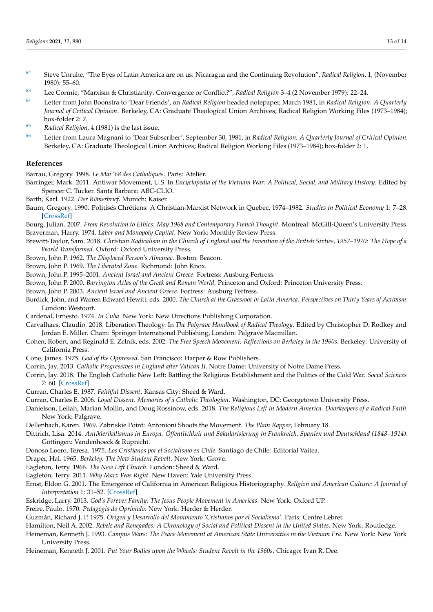- <span id="page-12-35"></span>[62](#page-8-8) Steve Unruhe, "The Eyes of Latin America are on us: Nicaragua and the Continuing Revolution", *Radical Religion*, 1, (November 1980): 55–60.
- <span id="page-12-36"></span>[63](#page-9-0) Lee Cormie, "Marxism & Christianity: Convergence or Conflict?", *Radical Religion* 3–4 (2 November 1979): 22–24.
- <span id="page-12-37"></span>[64](#page-9-1) Letter from John Boonstra to 'Dear Friends', on *Radical Religion* headed notepaper, March 1981, in *Radical Religion: A Quarterly Journal of Critical Opinion*. Berkeley, CA: Graduate Theological Union Archives; Radical Religion Working Files (1973–1984); box-folder 2: 7.
- <span id="page-12-38"></span>[65](#page-9-2) *Radical Religion*, 4 (1981) is the last issue.
- <span id="page-12-39"></span>[66](#page-9-3) Letter from Laura Magnani to 'Dear Subscriber', September 30, 1981, in *Radical Religion: A Quarterly Journal of Critical Opinion*. Berkeley, CA: Graduate Theological Union Archives; Radical Religion Working Files (1973–1984); box-folder 2: 1.

## **References**

<span id="page-12-24"></span>Barrau, Grégory. 1998. *Le Mai '68 des Catholiques*. Paris: Atelier.

<span id="page-12-8"></span>Barringer, Mark. 2011. Antiwar Movement, U.S. In *Encyclopedia of the Vietnam War: A Political, Social, and Military History*. Edited by Spencer C. Tucker. Santa Barbara: ABC-CLIO.

- <span id="page-12-23"></span>Barth, Karl. 1922. *Der Römerbrief*. Munich: Kaiser.
- <span id="page-12-28"></span>Baum, Gregory. 1990. Politisés Chrétiens: A Christian-Marxist Network in Quebec, 1974–1982. *Studies in Political Economy* 1: 7–28. [\[CrossRef\]](http://doi.org/10.1080/19187033.1990.11675482)
- <span id="page-12-33"></span><span id="page-12-29"></span>Bourg, Julian. 2007. *From Revolution to Ethics: May 1968 and Contemporary French Thought*. Montreal: McGill-Queen's University Press. Braverman, Harry. 1974. *Labor and Monopoly Capital*. New York: Monthly Review Press.
- <span id="page-12-22"></span>Brewitt-Taylor, Sam. 2018. *Christian Radicalism in the Church of England and the Invention of the British Sixties, 1957–1970: The Hope of a World Transformed*. Oxford: Oxford University Press.
- <span id="page-12-12"></span>Brown, John P. 1962. *The Displaced Person's Almanac*. Boston: Beacon.
- <span id="page-12-13"></span>Brown, John P. 1969. *The Liberated Zone*. Richmond: John Knox.
- <span id="page-12-14"></span>Brown, John P. 1995–2001. *Ancient Israel and Ancient Greece*. Fortress: Ausburg Fertress.
- <span id="page-12-15"></span>Brown, John P. 2000. *Barrington Atlas of the Greek and Roman World*. Princeton and Oxford: Princeton University Press.
- <span id="page-12-16"></span>Brown, John P. 2003. *Ancient Israel and Ancient Greece*. Fortress: Ausburg Fertress.
- <span id="page-12-26"></span>Burdick, John, and Warren Edward Hewitt, eds. 2000. *The Church at the Grassroot in Latin America. Perspectives on Thirty Years of Activism*. London: Westoort.
- <span id="page-12-34"></span>Cardenal, Ernesto. 1974. *In Cuba*. New York: New Directions Publishing Corporation.
- <span id="page-12-17"></span>Carvalhaes, Claudio. 2018. Liberation Theology. In *The Palgrave Handbook of Radical Theology*. Edited by Christopher D. Rodkey and Jordan E. Miller. Cham: Springer International Publishing, London: Palgrave Macmillan.
- <span id="page-12-11"></span>Cohen, Robert, and Reginald E. Zelnik, eds. 2002. *The Free Speech Movement. Reflections on Berkeley in the 1960s*. Berkeley: University of California Press.
- <span id="page-12-20"></span>Cone, James. 1975. *God of the Oppressed*. San Francisco: Harper & Row Publishers.
- <span id="page-12-25"></span>Corrin, Jay. 2013. *Catholic Progressives in England after Vatican II*. Notre Dame: University of Notre Dame Press.
- <span id="page-12-30"></span>Corrin, Jay. 2018. The English Catholic New Left: Battling the Religious Establishment and the Politics of the Cold War. *Social Sciences* 7: 60. [\[CrossRef\]](http://doi.org/10.3390/socsci7040060)
- <span id="page-12-2"></span>Curran, Charles E. 1987. *Faithful Dissent*. Kansas City: Sheed & Ward.
- <span id="page-12-1"></span>Curran, Charles E. 2006. *Loyal Dissent. Memories of a Catholic Theologian*. Washington, DC: Georgetown University Press.
- <span id="page-12-4"></span>Danielson, Leilah, Marian Mollin, and Doug Rossinow, eds. 2018. *The Religious Left in Modern America. Doorkeepers of a Radical Faith*. New York: Palgrave.
- <span id="page-12-5"></span>Dellenbach, Karen. 1969. Zabriskie Point: Antonioni Shoots the Movement. *The Plain Rapper*, February 18.
- <span id="page-12-21"></span>Dittrich, Lisa. 2014. *Antiklerikalismus in Europa. Öffentlichkeit und Säkularisierung in Frankreich, Spanien und Deutschland (1848–1914)*. Göttingen: Vandenhoeck & Ruprecht.
- <span id="page-12-19"></span>Donoso Loero, Teresa. 1975. *Los Cristianos por el Socialismo en Chile*. Santiago de Chile: Editorial Vaitea.
- <span id="page-12-7"></span>Draper, Hal. 1965. *Berkeley. The New Student Revolt*. New York: Grove.
- <span id="page-12-31"></span>Eagleton, Terry. 1966. *The New Left Church*. London: Sheed & Ward.
- <span id="page-12-32"></span>Eagleton, Terry. 2011. *Why Marx Was Right*. New Haven: Yale University Press.
- <span id="page-12-3"></span>Ernst, Eldon G. 2001. The Emergence of California in American Religious Historiography. *Religion and American Culture: A Journal of Interpretation* 1: 31–52. [\[CrossRef\]](http://doi.org/10.1525/rac.2001.11.1.31)
- <span id="page-12-6"></span>Eskridge, Larry. 2013. *God's Forever Family: The Jesus People Movement in Americas*. New York: Oxford UP.
- <span id="page-12-18"></span>Freire, Paulo. 1970. *Pedagogia do Oprimido*. New York: Herder & Herder.
- <span id="page-12-27"></span>Guzmán, Richard J. P. 1975. *Origen y Desarrollo del Movimiento 'Cristianos por el Socialismo'*. Paris: Centre Lebret.
- <span id="page-12-9"></span><span id="page-12-0"></span>Hamilton, Neil A. 2002. *Rebels and Renegades: A Chronology of Social and Political Dissent in the United States*. New York: Routledge.
- Heineman, Kenneth J. 1993. *Campus Wars: The Peace Movement at American State Universities in the Vietnam Era*. New York: New York University Press.
- <span id="page-12-10"></span>Heineman, Kenneth J. 2001. *Put Your Bodies upon the Wheels: Student Revolt in the 1960s*. Chicago: Ivan R. Dee.